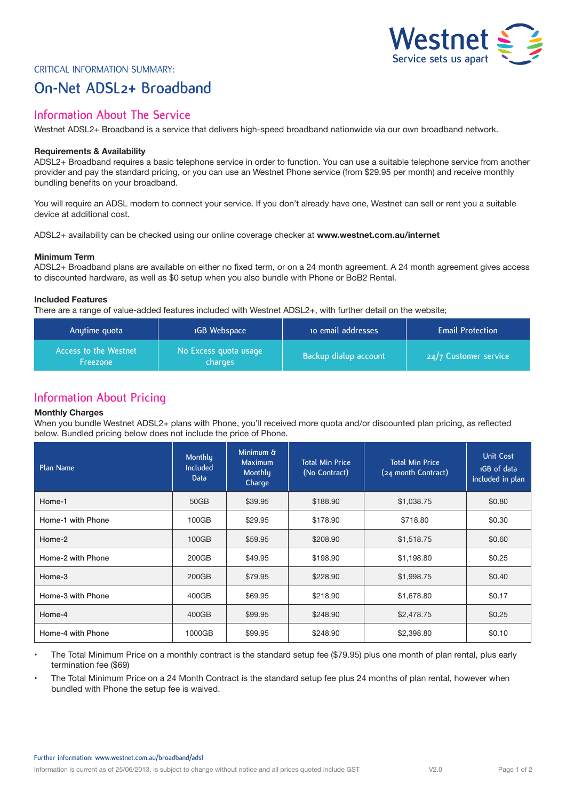

# Critical Information Summary:

# **On-Net ADSL2+ Broadband**

# **Information About The Service**

Westnet ADSL2+ Broadband is a service that delivers high-speed broadband nationwide via our own broadband network.

### **Requirements & Availability**

ADSL2+ Broadband requires a basic telephone service in order to function. You can use a suitable telephone service from another provider and pay the standard pricing, or you can use an Westnet Phone service (from \$29.95 per month) and receive monthly bundling benefits on your broadband.

You will require an ADSL modem to connect your service. If you don't already have one, Westnet can sell or rent you a suitable device at additional cost.

ADSL2+ availability can be checked using our online coverage checker at **www.westnet.com.au/internet**

#### **Minimum Term**

ADSL2+ Broadband plans are available on either no fixed term, or on a 24 month agreement. A 24 month agreement gives access to discounted hardware, as well as \$0 setup when you also bundle with Phone or BoB2 Rental.

### **Included Features**

There are a range of value-added features included with Westnet ADSL2+, with further detail on the website;

| Anytime quota                     | 1GB Webspace                     | to email addresses    | <b>Email Protection</b> |
|-----------------------------------|----------------------------------|-----------------------|-------------------------|
| Access to the Westnet<br>Freezone | No Excess quota usage<br>charges | Backup dialup account | $24/7$ Customer service |

# **Information About Pricing**

#### **Monthly Charges**

When you bundle Westnet ADSL2+ plans with Phone, you'll received more quota and/or discounted plan pricing, as reflected below. Bundled pricing below does not include the price of Phone.

| Plan Name         | Monthly<br><b>Included</b><br><b>Data</b> | Minimum &<br>Maximum<br>Monthly<br>Charge | <b>Total Min Price</b><br>(No Contract) | <b>Total Min Price</b><br>(24 month Contract) | <b>Unit Cost</b><br>1GB of data<br>included in plan |
|-------------------|-------------------------------------------|-------------------------------------------|-----------------------------------------|-----------------------------------------------|-----------------------------------------------------|
| Home-1            | 50GB                                      | \$39.95                                   | \$188.90                                | \$1,038.75                                    | \$0.80                                              |
| Home-1 with Phone | 100GB                                     | \$29.95                                   | \$178.90                                | \$718.80                                      | \$0.30                                              |
| Home-2            | 100GB                                     | \$59.95                                   | \$208.90                                | \$1,518.75                                    | \$0.60                                              |
| Home-2 with Phone | 200GB                                     | \$49.95                                   | \$198.90                                | \$1,198.80                                    | \$0.25                                              |
| Home-3            | 200GB                                     | \$79.95                                   | \$228.90                                | \$1,998.75                                    | \$0.40                                              |
| Home-3 with Phone | 400GB                                     | \$69.95                                   | \$218.90                                | \$1,678.80                                    | \$0.17                                              |
| Home-4            | 400GB                                     | \$99.95                                   | \$248.90                                | \$2,478.75                                    | \$0.25                                              |
| Home-4 with Phone | 1000GB                                    | \$99.95                                   | \$248.90                                | \$2,398.80                                    | \$0.10                                              |

- The Total Minimum Price on a monthly contract is the standard setup fee (\$79.95) plus one month of plan rental, plus early termination fee (\$69)
- The Total Minimum Price on a 24 Month Contract is the standard setup fee plus 24 months of plan rental, however when bundled with Phone the setup fee is waived.